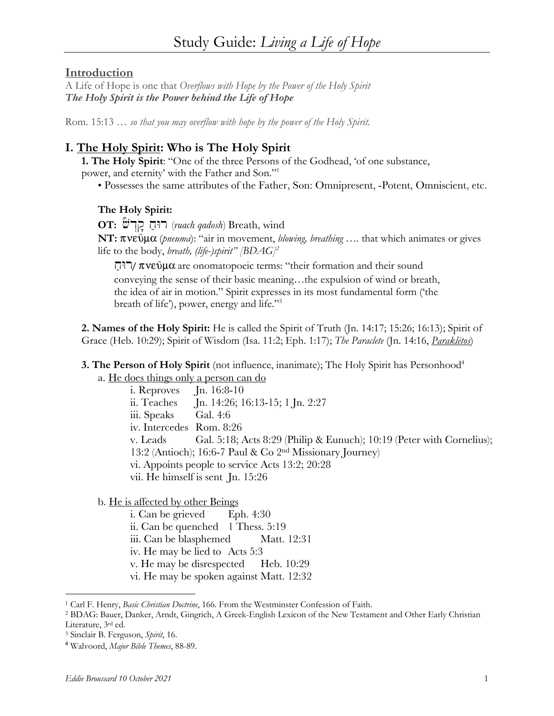### **Introduction**

A Life of Hope is one that *Overflows with Hope by the Power of the Holy Spirit The Holy Spirit is the Power behind the Life of Hope*

Rom. 15:13 *… so that you may overflow with hope by the power of the Holy Spirit.*

# **I. The Holy Spirit: Who is The Holy Spirit**

**1. The Holy Spirit**: "One of the three Persons of the Godhead, 'of one substance, power, and eternity' with the Father and Son."1

• Possesses the same attributes of the Father, Son: Omnipresent, -Potent, Omniscient, etc.

### **The Holy Spirit:**

**OT:** Hv√d∂q Aj…wr (*ruach qadosh*) Breath, wind **NT:** πνεῦμα (*pneuma*): "air in movement, *blowing, breathing* .... that which animates or gives life to the body, *breath, (life-)spirit" [BDAG]2*

רוֹחַ $\pi$ / $\pi$ v $\varepsilon$  $\hat{v}$ μα are onomatopoeic terms: "their formation and their sound conveying the sense of their basic meaning…the expulsion of wind or breath, the idea of air in motion." Spirit expresses in its most fundamental form ('the breath of life'), power, energy and life."3

**2. Names of the Holy Spirit:** He is called the Spirit of Truth (Jn. 14:17; 15:26; 16:13); Spirit of Grace (Heb. 10:29); Spirit of Wisdom (Isa. 11:2; Eph. 1:17); *The Paraclete* (Jn. 14:16, *Paraklētos*)

#### **3. The Person of Holy Spirit** (not influence, inanimate); The Holy Spirit has Personhood<sup>4</sup>

a. He does things only a person can do

i. Reproves Jn. 16:8-10 ii. Teaches Jn. 14:26; 16:13-15; 1 Jn. 2:27 iii. Speaks Gal. 4:6 iv. Intercedes Rom. 8:26 v. Leads Gal. 5:18; Acts 8:29 (Philip & Eunuch); 10:19 (Peter with Cornelius); 13:2 (Antioch); 16:6-7 Paul & Co 2nd Missionary Journey) vi. Appoints people to service Acts 13:2; 20:28 vii. He himself is sent Jn. 15:26

b. He is affected by other Beings

i. Can be grieved Eph. 4:30

ii. Can be quenched 1 Thess. 5:19

iii. Can be blasphemed Matt. 12:31

iv. He may be lied to Acts 5:3

v. He may be disrespected Heb. 10:29

vi. He may be spoken against Matt. 12:32

<sup>1</sup> Carl F. Henry, *Basic Christian Doctrine*, 166. From the Westminster Confession of Faith.

<sup>2</sup> BDAG: Bauer, Danker, Arndt, Gingrich, A Greek-English Lexicon of the New Testament and Other Early Christian Literature, 3rd ed. 3 Sinclair B. Ferguson, *Spirit*, 16.

<sup>4</sup> Walvoord, *Major Bible Themes*, 88-89.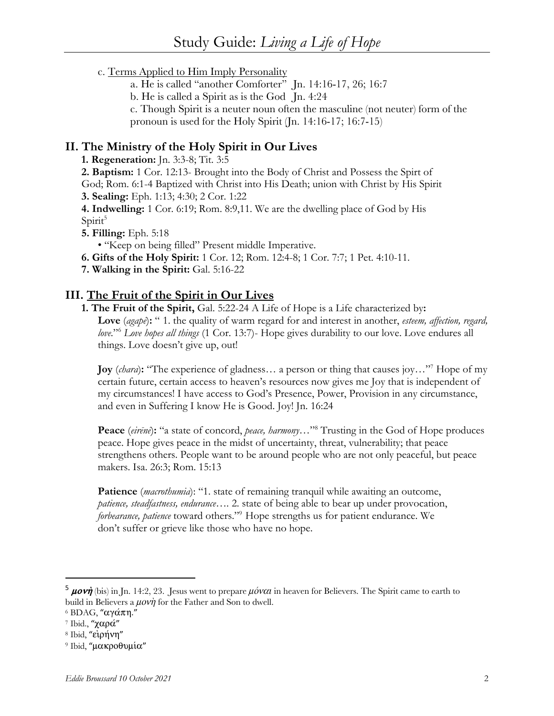# c. Terms Applied to Him Imply Personality

- a. He is called "another Comforter" Jn. 14:16-17, 26; 16:7
- b. He is called a Spirit as is the God Jn. 4:24
- c. Though Spirit is a neuter noun often the masculine (not neuter) form of the pronoun is used for the Holy Spirit (Jn. 14:16-17; 16:7-15)

## **II. The Ministry of the Holy Spirit in Our Lives**

**1. Regeneration:** Jn. 3:3-8; Tit. 3:5

**2. Baptism:** 1 Cor. 12:13- Brought into the Body of Christ and Possess the Spirt of

God; Rom. 6:1-4 Baptized with Christ into His Death; union with Christ by His Spirit

**3. Sealing:** Eph. 1:13; 4:30; 2 Cor. 1:22

**4. Indwelling:** 1 Cor. 6:19; Rom. 8:9,11. We are the dwelling place of God by His Spirit<sup>5</sup>

**5. Filling:** Eph. 5:18

• "Keep on being filled" Present middle Imperative.

**6. Gifts of the Holy Spirit:** 1 Cor. 12; Rom. 12:4-8; 1 Cor. 7:7; 1 Pet. 4:10-11.

**7. Walking in the Spirit:** Gal. 5:16-22

# **III. The Fruit of the Spirit in Our Lives**

**1. The Fruit of the Spirit,** Gal. 5:22-24 A Life of Hope is a Life characterized by**: Love** (*agapē*)**:** " 1. the quality of warm regard for and interest in another, *esteem, affection, regard, love.*"6 *Love hopes all things* (1 Cor. 13:7)- Hope gives durability to our love. Love endures all things. Love doesn't give up, out!

**Joy** *(chara*): "The experience of gladness... a person or thing that causes joy..."<sup>7</sup> Hope of my certain future, certain access to heaven's resources now gives me Joy that is independent of my circumstances! I have access to God's Presence, Power, Provision in any circumstance, and even in Suffering I know He is Good. Joy! Jn. 16:24

**Peace** (*eirēnē*)**:** "a state of concord, *peace, harmony…*"8 Trusting in the God of Hope produces peace. Hope gives peace in the midst of uncertainty, threat, vulnerability; that peace strengthens others. People want to be around people who are not only peaceful, but peace makers. Isa. 26:3; Rom. 15:13

**Patience** (*macrothumia*): "1. state of remaining tranquil while awaiting an outcome, *patience, steadfastness, endurance….* 2. state of being able to bear up under provocation, *forbearance, patience* toward others."9 Hope strengths us for patient endurance. We don't suffer or grieve like those who have no hope.

<sup>&</sup>lt;sup>5</sup> **uovi** (bis) in Jn. 14:2, 23. Jesus went to prepare  $\mu$ óv $\alpha$ *i* in heaven for Believers. The Spirit came to earth to build in Believers a  $\mu$ ov $\dot{\eta}$  for the Father and Son to dwell.

 $6$  BDAG, "αγάπη."

 $7$  Ibid., "χαρά"

<sup>&</sup>lt;sup>8</sup> Ibid, "ειρήνη"

<sup>&</sup>lt;sup>9</sup> Ibid, "μακροθυμία"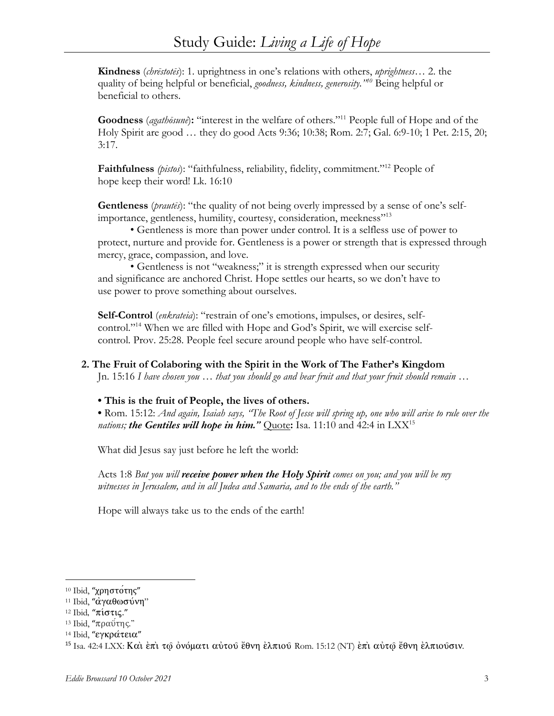**Kindness** (*chrēstotēs*): 1. uprightness in one's relations with others, *uprightness*… 2. the quality of being helpful or beneficial, *goodness, kindness, generosity."10* Being helpful or beneficial to others.

**Goodness** (*agathōsunē*)**:** "interest in the welfare of others."11 People full of Hope and of the Holy Spirit are good … they do good Acts 9:36; 10:38; Rom. 2:7; Gal. 6:9-10; 1 Pet. 2:15, 20; 3:17.

**Faithfulness** *(pistos*): "faithfulness, reliability, fidelity, commitment."12 People of hope keep their word! Lk. 16:10

**Gentleness** (*prautēs*): "the quality of not being overly impressed by a sense of one's selfimportance, gentleness, humility, courtesy, consideration, meekness"<sup>13</sup>

• Gentleness is more than power under control. It is a selfless use of power to protect, nurture and provide for. Gentleness is a power or strength that is expressed through mercy, grace, compassion, and love.

• Gentleness is not "weakness;" it is strength expressed when our security and significance are anchored Christ. Hope settles our hearts, so we don't have to use power to prove something about ourselves.

**Self-Control** (*enkrateia*): "restrain of one's emotions, impulses, or desires, selfcontrol."14 When we are filled with Hope and God's Spirit, we will exercise selfcontrol. Prov. 25:28. People feel secure around people who have self-control.

### **2. The Fruit of Colaboring with the Spirit in the Work of The Father's Kingdom**

Jn. 15:16 *I have chosen you … that you should go and bear fruit and that your fruit should remain …* 

**• This is the fruit of People, the lives of others.**

**•** Rom. 15:12: *And again, Isaiah says, "The Root of Jesse will spring up, one who will arise to rule over the nations; the Gentiles will hope in him.*" **Quote:** Isa. 11:10 and 42:4 in LXX<sup>15</sup>

What did Jesus say just before he left the world:

Acts 1:8 *But you will receive power when the Holy Spirit comes on you; and you will be my witnesses in Jerusalem, and in all Judea and Samaria, and to the ends of the earth."*

Hope will always take us to the ends of the earth!

<sup>10</sup> Ibid, "χρηστότης"

<sup>&</sup>lt;sup>11</sup> Ibid, "άγαθωσύνη"

<sup>&</sup>lt;sup>12</sup> Ibid, "πίστις."

<sup>&</sup>lt;sup>13</sup> Ibid, "πραύτης."

<sup>&</sup>lt;sup>14</sup> Ibid, "εγκράτεια"

<sup>&</sup>lt;sup>15</sup> Isa. 42:4 LXX: Και επι τω ονόματι αυτού έθνη ελπιού Rom. 15:12 (NT) επι αυτώ έθνη ελπιούσιν.